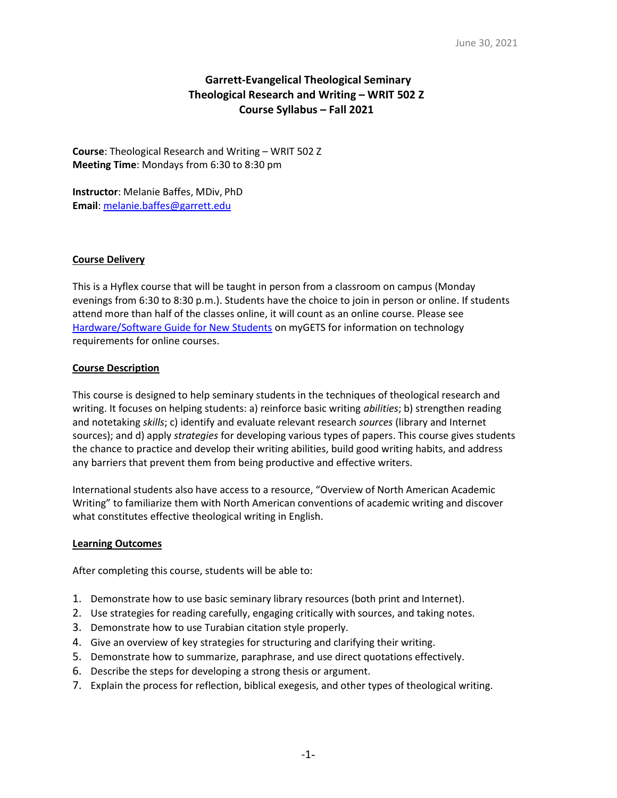# Garrett-Evangelical Theological Seminary Theological Research and Writing – WRIT 502 Z Course Syllabus – Fall 2021

Course: Theological Research and Writing – WRIT 502 Z Meeting Time: Mondays from 6:30 to 8:30 pm

Instructor: Melanie Baffes, MDiv, PhD Email: melanie.baffes@garrett.edu

## Course Delivery

This is a Hyflex course that will be taught in person from a classroom on campus (Monday evenings from 6:30 to 8:30 p.m.). Students have the choice to join in person or online. If students attend more than half of the classes online, it will count as an online course. Please see Hardware/Software Guide for New Students on myGETS for information on technology requirements for online courses.

## Course Description

This course is designed to help seminary students in the techniques of theological research and writing. It focuses on helping students: a) reinforce basic writing *abilities*; b) strengthen reading and notetaking *skills*; c) identify and evaluate relevant research sources (library and Internet sources); and d) apply *strategies* for developing various types of papers. This course gives students the chance to practice and develop their writing abilities, build good writing habits, and address any barriers that prevent them from being productive and effective writers.

International students also have access to a resource, "Overview of North American Academic Writing" to familiarize them with North American conventions of academic writing and discover what constitutes effective theological writing in English.

## **Learning Outcomes**

After completing this course, students will be able to:

- 1. Demonstrate how to use basic seminary library resources (both print and Internet).
- 2. Use strategies for reading carefully, engaging critically with sources, and taking notes.
- 3. Demonstrate how to use Turabian citation style properly.
- 4. Give an overview of key strategies for structuring and clarifying their writing.
- 5. Demonstrate how to summarize, paraphrase, and use direct quotations effectively.
- 6. Describe the steps for developing a strong thesis or argument.
- 7. Explain the process for reflection, biblical exegesis, and other types of theological writing.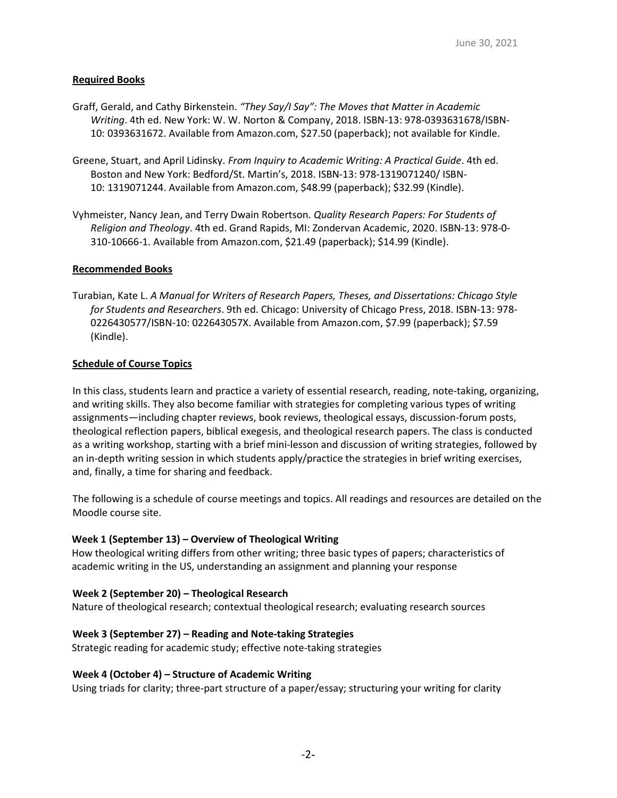## Required Books

- Graff, Gerald, and Cathy Birkenstein. "They Say/I Say": The Moves that Matter in Academic Writing. 4th ed. New York: W. W. Norton & Company, 2018. ISBN-13: 978-0393631678/ISBN-10: 0393631672. Available from Amazon.com, \$27.50 (paperback); not available for Kindle.
- Greene, Stuart, and April Lidinsky. From Inquiry to Academic Writing: A Practical Guide. 4th ed. Boston and New York: Bedford/St. Martin's, 2018. ISBN-13: 978-1319071240/ ISBN-10: 1319071244. Available from Amazon.com, \$48.99 (paperback); \$32.99 (Kindle).
- Vyhmeister, Nancy Jean, and Terry Dwain Robertson. Quality Research Papers: For Students of Religion and Theology. 4th ed. Grand Rapids, MI: Zondervan Academic, 2020. ISBN-13: 978-0- 310-10666-1. Available from Amazon.com, \$21.49 (paperback); \$14.99 (Kindle).

#### Recommended Books

Turabian, Kate L. A Manual for Writers of Research Papers, Theses, and Dissertations: Chicago Style for Students and Researchers. 9th ed. Chicago: University of Chicago Press, 2018. ISBN-13: 978- 0226430577/ISBN-10: 022643057X. Available from Amazon.com, \$7.99 (paperback); \$7.59 (Kindle).

#### Schedule of Course Topics

In this class, students learn and practice a variety of essential research, reading, note-taking, organizing, and writing skills. They also become familiar with strategies for completing various types of writing assignments—including chapter reviews, book reviews, theological essays, discussion-forum posts, theological reflection papers, biblical exegesis, and theological research papers. The class is conducted as a writing workshop, starting with a brief mini-lesson and discussion of writing strategies, followed by an in-depth writing session in which students apply/practice the strategies in brief writing exercises, and, finally, a time for sharing and feedback.

The following is a schedule of course meetings and topics. All readings and resources are detailed on the Moodle course site.

## Week 1 (September 13) – Overview of Theological Writing

How theological writing differs from other writing; three basic types of papers; characteristics of academic writing in the US, understanding an assignment and planning your response

#### Week 2 (September 20) – Theological Research

Nature of theological research; contextual theological research; evaluating research sources

## Week 3 (September 27) – Reading and Note-taking Strategies

Strategic reading for academic study; effective note-taking strategies

#### Week 4 (October 4) – Structure of Academic Writing

Using triads for clarity; three-part structure of a paper/essay; structuring your writing for clarity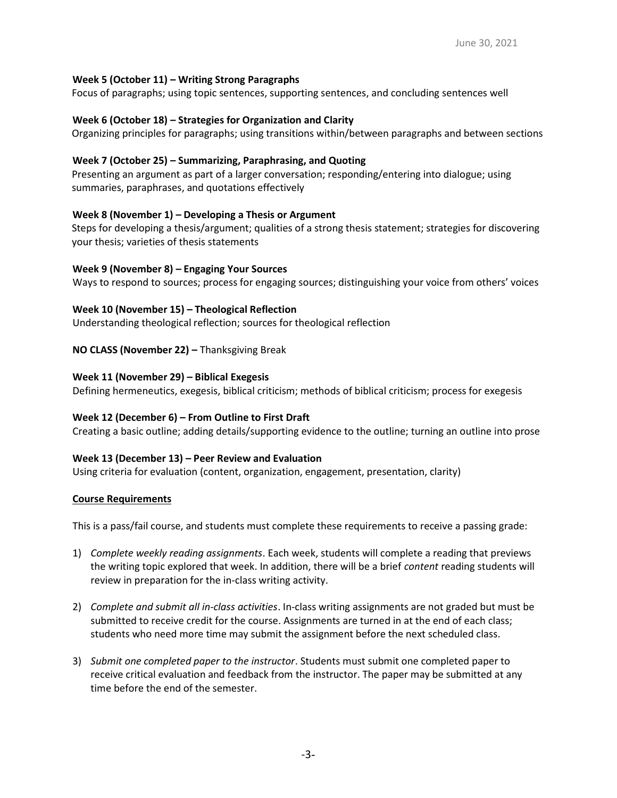### Week 5 (October 11) – Writing Strong Paragraphs

Focus of paragraphs; using topic sentences, supporting sentences, and concluding sentences well

#### Week 6 (October 18) – Strategies for Organization and Clarity

Organizing principles for paragraphs; using transitions within/between paragraphs and between sections

### Week 7 (October 25) – Summarizing, Paraphrasing, and Quoting

Presenting an argument as part of a larger conversation; responding/entering into dialogue; using summaries, paraphrases, and quotations effectively

#### Week 8 (November 1) – Developing a Thesis or Argument

Steps for developing a thesis/argument; qualities of a strong thesis statement; strategies for discovering your thesis; varieties of thesis statements

#### Week 9 (November 8) – Engaging Your Sources

Ways to respond to sources; process for engaging sources; distinguishing your voice from others' voices

#### Week 10 (November 15) – Theological Reflection

Understanding theological reflection; sources for theological reflection

#### NO CLASS (November 22) – Thanksgiving Break

#### Week 11 (November 29) – Biblical Exegesis

Defining hermeneutics, exegesis, biblical criticism; methods of biblical criticism; process for exegesis

#### Week 12 (December 6) – From Outline to First Draft

Creating a basic outline; adding details/supporting evidence to the outline; turning an outline into prose

#### Week 13 (December 13) – Peer Review and Evaluation

Using criteria for evaluation (content, organization, engagement, presentation, clarity)

#### Course Requirements

This is a pass/fail course, and students must complete these requirements to receive a passing grade:

- 1) Complete weekly reading assignments. Each week, students will complete a reading that previews the writing topic explored that week. In addition, there will be a brief *content* reading students will review in preparation for the in-class writing activity.
- 2) Complete and submit all in-class activities. In-class writing assignments are not graded but must be submitted to receive credit for the course. Assignments are turned in at the end of each class; students who need more time may submit the assignment before the next scheduled class.
- 3) Submit one completed paper to the instructor. Students must submit one completed paper to receive critical evaluation and feedback from the instructor. The paper may be submitted at any time before the end of the semester.